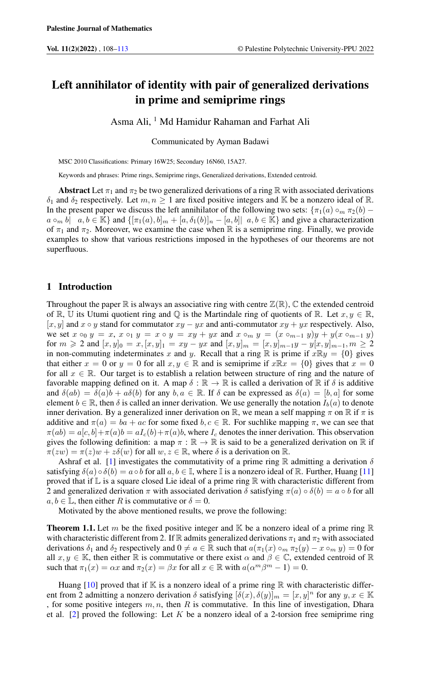# Left annihilator of identity with pair of generalized derivations in prime and semiprime rings

Asma Ali, <sup>1</sup> Md Hamidur Rahaman and Farhat Ali

Communicated by Ayman Badawi

MSC 2010 Classifications: Primary 16W25; Secondary 16N60, 15A27.

Keywords and phrases: Prime rings, Semiprime rings, Generalized derivations, Extended centroid.

**Abstract** Let  $\pi_1$  and  $\pi_2$  be two generalized derivations of a ring R with associated derivations  $\delta_1$  and  $\delta_2$  respectively. Let  $m, n \ge 1$  are fixed positive integers and K be a nonzero ideal of R. In the present paper we discuss the left annihilator of the following two sets:  $\{\pi_1(a) \circ_m \pi_2(b)$  $a \circ_m b | a, b \in \mathbb{K}$  and  $\{[\pi_1(a), b]_m + [a, \delta_1(b)]_n - [a, b] | a, b \in \mathbb{K}\}\$  and give a characterization of  $\pi_1$  and  $\pi_2$ . Moreover, we examine the case when R is a semiprime ring. Finally, we provide examples to show that various restrictions imposed in the hypotheses of our theorems are not superfluous.

### 1 Introduction

Throughout the paper  $\mathbb R$  is always an associative ring with centre  $\mathbb Z(\mathbb R)$ ,  $\mathbb C$  the extended centroid of R, U its Utumi quotient ring and Q is the Martindale ring of quotients of R. Let  $x, y \in \mathbb{R}$ ,  $[x, y]$  and  $x \circ y$  stand for commutator  $xy - yx$  and anti-commutator  $xy + yx$  respectively. Also, we set  $x \circ_0 y = x$ ,  $x \circ_1 y = x \circ y = xy + yx$  and  $x \circ_m y = (x \circ_{m-1} y)y + y(x \circ_{m-1} y)$ for  $m \geq 2$  and  $[x, y]_0 = x$ ,  $[x, y]_1 = xy - yx$  and  $[x, y]_m = [x, y]_{m-1}y - y[x, y]_{m-1}$ ,  $m \geq 2$ in non-commuting indeterminates x and y. Recall that a ring  $\mathbb R$  is prime if  $x\mathbb R y = \{0\}$  gives that either  $x = 0$  or  $y = 0$  for all  $x, y \in \mathbb{R}$  and is semiprime if  $x \mathbb{R}x = \{0\}$  gives that  $x = 0$ for all  $x \in \mathbb{R}$ . Our target is to establish a relation between structure of ring and the nature of favorable mapping defined on it. A map  $\delta : \mathbb{R} \to \mathbb{R}$  is called a derivation of  $\mathbb{R}$  if  $\delta$  is additive and  $\delta(ab) = \delta(a)b + a\delta(b)$  for any  $b, a \in \mathbb{R}$ . If  $\delta$  can be expressed as  $\delta(a) = [b, a]$  for some element  $b \in \mathbb{R}$ , then  $\delta$  is called an inner derivation. We use generally the notation  $I_b(a)$  to denote inner derivation. By a generalized inner derivation on  $\mathbb{R}$ , we mean a self mapping  $\pi$  on  $\mathbb{R}$  if  $\pi$  is additive and  $\pi(a) = ba + ac$  for some fixed  $b, c \in \mathbb{R}$ . For suchlike mapping  $\pi$ , we can see that  $\pi(ab) = a[c, b] + \pi(a)b = aI_c(b) + \pi(a)b$ , where  $I_c$  denotes the inner derivation. This observation gives the following definition: a map  $\pi : \mathbb{R} \to \mathbb{R}$  is said to be a generalized derivation on  $\mathbb{R}$  if  $\pi(zw) = \pi(z)w + z\delta(w)$  for all  $w, z \in \mathbb{R}$ , where  $\delta$  is a derivation on  $\mathbb{R}$ .

Ashraf et al. [\[1\]](#page-5-1) investigates the commutativity of a prime ring R admitting a derivation  $\delta$ satisfying  $\delta(a) \circ \delta(b) = a \circ b$  for all  $a, b \in \mathbb{I}$ , where  $\mathbb{I}$  is a nonzero ideal of  $\mathbb{R}$ . Further, Huang [\[11\]](#page-5-2) proved that if  $\mathbb L$  is a square closed Lie ideal of a prime ring  $\mathbb R$  with characteristic different from 2 and generalized derivation  $\pi$  with associated derivation  $\delta$  satisfying  $\pi(a) \circ \delta(b) = a \circ b$  for all  $a, b \in \mathbb{L}$ , then either R is commutative or  $\delta = 0$ .

Motivated by the above mentioned results, we prove the following:

<span id="page-0-0"></span>**Theorem 1.1.** Let m be the fixed positive integer and K be a nonzero ideal of a prime ring R with characteristic different from 2. If R admits generalized derivations  $\pi_1$  and  $\pi_2$  with associated derivations  $\delta_1$  and  $\delta_2$  respectively and  $0 \neq a \in \mathbb{R}$  such that  $a(\pi_1(x) \circ_m \pi_2(y) - x \circ_m y) = 0$  for all  $x, y \in \mathbb{K}$ , then either  $\mathbb R$  is commutative or there exist  $\alpha$  and  $\beta \in \mathbb{C}$ , extended centroid of  $\mathbb R$ such that  $\pi_1(x) = \alpha x$  and  $\pi_2(x) = \beta x$  for all  $x \in \mathbb{R}$  with  $a(\alpha^m \beta^m - 1) = 0$ .

Huang  $[10]$  proved that if K is a nonzero ideal of a prime ring R with characteristic different from 2 admitting a nonzero derivation  $\delta$  satisfying  $[\delta(x), \delta(y)]_m = [x, y]^n$  for any  $y, x \in \mathbb{K}$ , for some positive integers  $m, n$ , then R is commutative. In this line of investigation, Dhara et al.  $[2]$  proved the following: Let K be a nonzero ideal of a 2-torsion free semiprime ring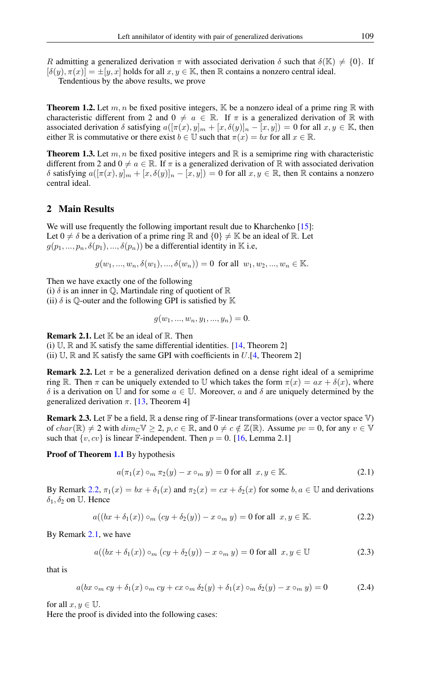R admitting a generalized derivation  $\pi$  with associated derivation  $\delta$  such that  $\delta(\mathbb{K}) \neq \{0\}$ . If  $[\delta(y), \pi(x)] = \pm [y, x]$  holds for all  $x, y \in \mathbb{K}$ , then  $\mathbb R$  contains a nonzero central ideal.

Tendentious by the above results, we prove

<span id="page-1-4"></span>**Theorem 1.2.** Let m, n be fixed positive integers, K be a nonzero ideal of a prime ring R with characteristic different from 2 and  $0 \neq a \in \mathbb{R}$ . If  $\pi$  is a generalized derivation of  $\mathbb R$  with associated derivation  $\delta$  satisfying  $a([\pi(x), y]_m + [x, \delta(y)]_n - [x, y]) = 0$  for all  $x, y \in \mathbb{K}$ , then either R is commutative or there exist  $b \in \mathbb{U}$  such that  $\pi(x) = bx$  for all  $x \in \mathbb{R}$ .

<span id="page-1-5"></span>**Theorem 1.3.** Let m, n be fixed positive integers and  $\mathbb{R}$  is a semiprime ring with characteristic different from 2 and  $0 \neq a \in \mathbb{R}$ . If  $\pi$  is a generalized derivation of  $\mathbb R$  with associated derivation δ satisfying  $a([π(x), y]_m + [x, δ(y)]_n - [x, y]) = 0$  for all  $x, y ∈ ℝ$ , then ℝ contains a nonzero central ideal.

## 2 Main Results

We will use frequently the following important result due to Kharchenko [\[15\]](#page-5-5): Let  $0 \neq \delta$  be a derivation of a prime ring R and  $\{0\} \neq \mathbb{K}$  be an ideal of R. Let  $g(p_1, ..., p_n, \delta(p_1), ..., \delta(p_n))$  be a differential identity in K i.e,

$$
g(w_1, ..., w_n, \delta(w_1), ..., \delta(w_n)) = 0
$$
 for all  $w_1, w_2, ..., w_n \in \mathbb{K}$ .

Then we have exactly one of the following

(i)  $\delta$  is an inner in  $\mathbb{Q}$ , Martindale ring of quotient of  $\mathbb{R}$ (ii)  $\delta$  is Q-outer and the following GPI is satisfied by K

$$
g(w_1, ..., w_n, y_1, ..., y_n) = 0.
$$

<span id="page-1-1"></span>**Remark 2.1.** Let  $K$  be an ideal of  $R$ . Then

(i)  $\mathbb{U}$ ,  $\mathbb{R}$  and  $\mathbb{K}$  satisfy the same differential identities. [\[14,](#page-5-6) Theorem 2] (ii)  $\mathbb{U}, \mathbb{R}$  and  $\mathbb{K}$  satisfy the same GPI with coefficients in U.[\[4,](#page-5-7) Theorem 2]

<span id="page-1-0"></span>**Remark 2.2.** Let  $\pi$  be a generalized derivation defined on a dense right ideal of a semiprime ring R. Then  $\pi$  can be uniquely extended to U which takes the form  $\pi(x) = ax + \delta(x)$ , where δ is a derivation on U and for some a ∈ U. Moreover, a and δ are uniquely determined by the generalized derivation  $\pi$ . [\[13,](#page-5-8) Theorem 4]

<span id="page-1-2"></span>**Remark 2.3.** Let  $\mathbb{F}$  be a field,  $\mathbb{R}$  a dense ring of  $\mathbb{F}$ -linear transformations (over a vector space  $\mathbb{V}$ ) of  $char(\mathbb{R}) \neq 2$  with  $dim_{\mathbb{C}} \mathbb{V} \geq 2$ ,  $p, c \in \mathbb{R}$ , and  $0 \neq c \notin \mathbb{Z}(\mathbb{R})$ . Assume  $pv = 0$ , for any  $v \in \mathbb{V}$ such that  $\{v, cv\}$  is linear F-independent. Then  $p = 0$ . [\[16,](#page-5-9) Lemma 2.1]

#### Proof of Theorem [1.1](#page-0-0) By hypothesis

$$
a(\pi_1(x) \circ_m \pi_2(y) - x \circ_m y) = 0 \text{ for all } x, y \in \mathbb{K}.
$$
 (2.1)

By Remark [2.2,](#page-1-0)  $\pi_1(x) = bx + \delta_1(x)$  and  $\pi_2(x) = cx + \delta_2(x)$  for some  $b, a \in \mathbb{U}$  and derivations  $\delta_1, \delta_2$  on U. Hence

$$
a((bx + \delta_1(x)) \circ_m (cy + \delta_2(y)) - x \circ_m y) = 0 \text{ for all } x, y \in \mathbb{K}.
$$
 (2.2)

By Remark [2.1,](#page-1-1) we have

$$
a((bx + \delta_1(x)) \circ_m (cy + \delta_2(y)) - x \circ_m y) = 0 \text{ for all } x, y \in \mathbb{U}
$$
 (2.3)

that is

<span id="page-1-3"></span>
$$
a(bx \circ_m cy + \delta_1(x) \circ_m cy + cx \circ_m \delta_2(y) + \delta_1(x) \circ_m \delta_2(y) - x \circ_m y) = 0 \tag{2.4}
$$

for all  $x, y \in \mathbb{U}$ .

Here the proof is divided into the following cases: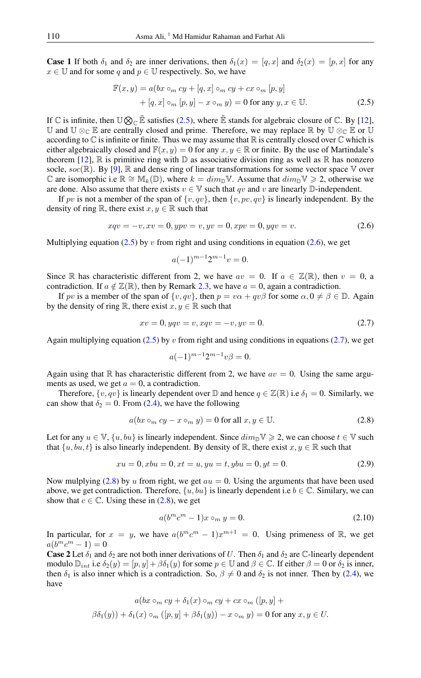**Case 1** If both  $\delta_1$  and  $\delta_2$  are inner derivations, then  $\delta_1(x) = [q, x]$  and  $\delta_2(x) = [p, x]$  for any  $x \in U$  and for some q and  $p \in U$  respectively. So, we have

<span id="page-2-0"></span>
$$
\mathbb{F}(x, y) = a(bx \circ_m cy + [q, x] \circ_m cy + cx \circ_m [p, y]
$$

$$
+ [q, x] \circ_m [p, y] - x \circ_m y) = 0 \text{ for any } y, x \in \mathbb{U}. \tag{2.5}
$$

If  $\mathbb C$  is infinite, then  $\mathbb U \otimes_{\mathbb C} \bar{\mathbb E}$  satisfies [\(2.5\)](#page-2-0), where  $\bar{\mathbb E}$  stands for algebraic closure of  $\mathbb C$ . By [\[12\]](#page-5-10), U and U ⊗<sub>C</sub> E are centrally closed and prime. Therefore, we may replace R by U ⊗<sub>C</sub> E or U according to  $\mathbb C$  is infinite or finite. Thus we may assume that  $\mathbb R$  is centrally closed over  $\mathbb C$  which is either algebraically closed and  $\mathbb{F}(x, y) = 0$  for any  $x, y \in \mathbb{R}$  or finite. By the use of Martindale's theorem [\[12\]](#page-5-10),  $\mathbb R$  is primitive ring with  $\mathbb D$  as associative division ring as well as  $\mathbb R$  has nonzero socle,  $soc(\mathbb{R})$ . By [\[9\]](#page-5-11),  $\mathbb R$  and dense ring of linear transformations for some vector space  $\mathbb V$  over C are isomorphic i.e  $\mathbb{R} \cong \mathbb{M}_k(\mathbb{D})$ , where  $k = dim_{\mathbb{D}} \mathbb{V}$ . Assume that  $dim_{\mathbb{D}} \mathbb{V} \geq 2$ , otherwise we are done. Also assume that there exists  $v \in V$  such that qv and v are linearly  $D$ -independent.

If pv is not a member of the span of  $\{v, qv\}$ , then  $\{v, pv, qv\}$  is linearly independent. By the density of ring R, there exist  $x, y \in \mathbb{R}$  such that

<span id="page-2-1"></span>
$$
xqv = -v, xv = 0, ypv = v, yv = 0, xpv = 0, yqv = v.
$$
\n(2.6)

Multiplying equation [\(2.5\)](#page-2-0) by v from right and using conditions in equation [\(2.6\)](#page-2-1), we get

$$
a(-1)^{m-1}2^{m-1}v = 0.
$$

Since R has characteristic different from 2, we have  $av = 0$ . If  $a \in \mathbb{Z}(\mathbb{R})$ , then  $v = 0$ , a contradiction. If  $a \notin \mathbb{Z}(\mathbb{R})$ , then by Remark [2.3,](#page-1-2) we have  $a = 0$ , again a contradiction.

If pv is a member of the span of  $\{v, qv\}$ , then  $p = v\alpha + qv\beta$  for some  $\alpha, 0 \neq \beta \in \mathbb{D}$ . Again by the density of ring R, there exist  $x, y \in \mathbb{R}$  such that

<span id="page-2-2"></span>
$$
xv = 0, yqv = v, xqv = -v, yv = 0.
$$
\n(2.7)

Again multiplying equation [\(2.5\)](#page-2-0) by v from right and using conditions in equations [\(2.7\)](#page-2-2), we get

$$
a(-1)^{m-1}2^{m-1}v\beta = 0.
$$

Again using that R has characteristic different from 2, we have  $av = 0$ . Using the same arguments as used, we get  $a = 0$ , a contradiction.

Therefore,  $\{v, qv\}$  is linearly dependent over  $\mathbb D$  and hence  $q \in \mathbb Z(\mathbb R)$  i.e  $\delta_1 = 0$ . Similarly, we can show that  $\delta_2 = 0$ . From [\(2.4\)](#page-1-3), we have the following

<span id="page-2-3"></span>
$$
a(bx \circ_m cy - x \circ_m y) = 0 \text{ for all } x, y \in \mathbb{U}. \tag{2.8}
$$

Let for any  $u \in \mathbb{V}$ ,  $\{u, bu\}$  is linearly independent. Since  $dim_{\mathbb{D}} \mathbb{V} \geq 2$ , we can choose  $t \in \mathbb{V}$  such that  $\{u, bu, t\}$  is also linearly independent. By density of R, there exist  $x, y \in \mathbb{R}$  such that

$$
xu = 0, xbu = 0, xt = u, yu = t, ybu = 0, yt = 0.
$$
\n
$$
(2.9)
$$

Now mulplying [\(2.8\)](#page-2-3) by u from right, we get  $au = 0$ . Using the arguments that have been used above, we get contradiction. Therefore,  $\{u, bu\}$  is linearly dependent i.e  $b \in \mathbb{C}$ . Similary, we can show that  $c \in \mathbb{C}$ . Using these in [\(2.8\)](#page-2-3), we get

$$
a(b^m c^m - 1)x \circ_m y = 0. \tag{2.10}
$$

In particular, for  $x = y$ , we have  $a(b^mc^m - 1)x^{m+1} = 0$ . Using primeness of R, we get  $a(b^mc^m - 1) = 0$ 

**Case 2** Let  $\delta_1$  and  $\delta_2$  are not both inner derivations of U. Then  $\delta_1$  and  $\delta_2$  are C-linearly dependent modulo  $\mathbb{D}_{int}$  i.e  $\delta_2(y) = [p, y] + \beta \delta_1(y)$  for some  $p \in \mathbb{U}$  and  $\beta \in \mathbb{C}$ . If either  $\beta = 0$  or  $\delta_2$  is inner, then  $\delta_1$  is also inner which is a contradiction. So,  $\beta \neq 0$  and  $\delta_2$  is not inner. Then by [\(2.4\)](#page-1-3), we have

$$
a(bx \circ_m cy + \delta_1(x) \circ_m cy + cx \circ_m ([p, y] +
$$
  

$$
\beta \delta_1(y)) + \delta_1(x) \circ_m ([p, y] + \beta \delta_1(y)) - x \circ_m y) = 0 \text{ for any } x, y \in U.
$$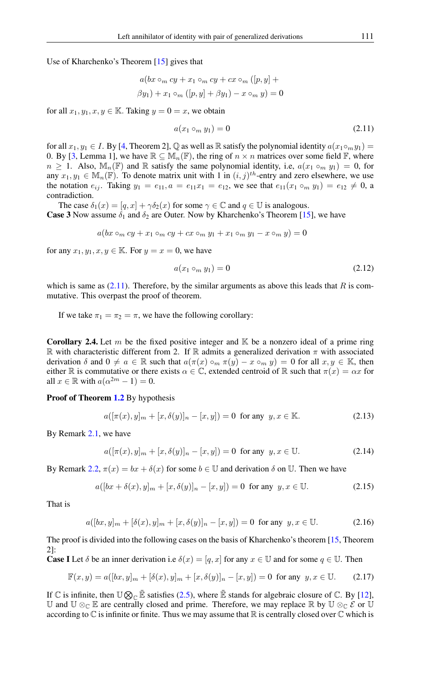Use of Kharchenko's Theorem [\[15\]](#page-5-5) gives that

$$
a(bx \circ_m cy + x_1 \circ_m cy + cx \circ_m ([p, y] +
$$
  

$$
\beta y_1) + x_1 \circ_m ([p, y] + \beta y_1) - x \circ_m y) = 0
$$

for all  $x_1, y_1, x, y \in \mathbb{K}$ . Taking  $y = 0 = x$ , we obtain

<span id="page-3-0"></span>
$$
a(x_1 \circ_m y_1) = 0 \tag{2.11}
$$

for all  $x_1, y_1 \in I$ . By [\[4,](#page-5-7) Theorem 2], Q as well as R satisfy the polynomial identity  $a(x_1 \circ_m y_1) =$ 0. By [\[3,](#page-5-12) Lemma 1], we have  $\mathbb{R} \subseteq \mathbb{M}_n(\mathbb{F})$ , the ring of  $n \times n$  matrices over some field  $\mathbb{F}$ , where  $n \geq 1$ . Also,  $\mathbb{M}_n(\mathbb{F})$  and  $\mathbb R$  satisfy the same polynomial identity, i.e,  $a(x_1 \circ_m y_1) = 0$ , for any  $x_1, y_1 \in \mathbb{M}_n(\mathbb{F})$ . To denote matrix unit with 1 in  $(i, j)^{th}$ -entry and zero elsewhere, we use the notation  $e_{ij}$ . Taking  $y_1 = e_{11}$ ,  $a = e_{11}x_1 = e_{12}$ , we see that  $e_{11}(x_1 \circ_m y_1) = e_{12} \neq 0$ , a contradiction.

The case  $\delta_1(x) = [q, x] + \gamma \delta_2(x)$  for some  $\gamma \in \mathbb{C}$  and  $q \in \mathbb{U}$  is analogous. **Case 3** Now assume  $\delta_1$  and  $\delta_2$  are Outer. Now by Kharchenko's Theorem [\[15\]](#page-5-5), we have

$$
a(bx \circ_m cy + x_1 \circ_m cy + cx \circ_m y_1 + x_1 \circ_m y_1 - x \circ_m y) = 0
$$

for any  $x_1, y_1, x, y \in \mathbb{K}$ . For  $y = x = 0$ , we have

$$
a(x_1 \circ_m y_1) = 0 \tag{2.12}
$$

which is same as  $(2.11)$ . Therefore, by the similar arguments as above this leads that R is commutative. This overpast the proof of theorem.

If we take  $\pi_1 = \pi_2 = \pi$ , we have the following corollary:

**Corollary 2.4.** Let m be the fixed positive integer and  $\mathbb{K}$  be a nonzero ideal of a prime ring R with characteristic different from 2. If R admits a generalized derivation  $\pi$  with associated derivation  $\delta$  and  $0 \neq a \in \mathbb{R}$  such that  $a(\pi(x) \circ_m \pi(y) - x \circ_m y) = 0$  for all  $x, y \in \mathbb{K}$ , then either R is commutative or there exists  $\alpha \in \mathbb{C}$ , extended centroid of R such that  $\pi(x) = \alpha x$  for all  $x \in \mathbb{R}$  with  $a(\alpha^{2m} - 1) = 0$ .

Proof of Theorem [1.2](#page-1-4) By hypothesis

$$
a([\pi(x), y]_m + [x, \delta(y)]_n - [x, y]) = 0 \text{ for any } y, x \in \mathbb{K}.
$$
 (2.13)

By Remark [2.1,](#page-1-1) we have

$$
a([\pi(x), y]_m + [x, \delta(y)]_n - [x, y]) = 0 \text{ for any } y, x \in \mathbb{U}.
$$
 (2.14)

By Remark [2.2,](#page-1-0)  $\pi(x) = bx + \delta(x)$  for some  $b \in U$  and derivation  $\delta$  on U. Then we have

$$
a([bx + \delta(x), y]_m + [x, \delta(y)]_n - [x, y]) = 0 \text{ for any } y, x \in \mathbb{U}.
$$
 (2.15)

That is

$$
a([bx, y]_m + [\delta(x), y]_m + [x, \delta(y)]_n - [x, y]) = 0 \text{ for any } y, x \in \mathbb{U}.
$$
 (2.16)

The proof is divided into the following cases on the basis of Kharchenko's theorem [\[15,](#page-5-5) Theorem 2]:

**Case I** Let  $\delta$  be an inner derivation i.e  $\delta(x) = [q, x]$  for any  $x \in \mathbb{U}$  and for some  $q \in \mathbb{U}$ . Then

<span id="page-3-1"></span>
$$
\mathbb{F}(x,y) = a([bx, y]_m + [\delta(x), y]_m + [x, \delta(y)]_n - [x, y]) = 0 \text{ for any } y, x \in \mathbb{U}. \tag{2.17}
$$

If  $\mathbb C$  is infinite, then  $\mathbb U \otimes_{\mathbb C} \bar{\mathbb E}$  satisfies [\(2.5\)](#page-2-0), where  $\bar{\mathbb E}$  stands for algebraic closure of  $\mathbb C$ . By [\[12\]](#page-5-10), U and  $\mathbb{U} \otimes_{\mathbb{C}} \mathbb{E}$  are centrally closed and prime. Therefore, we may replace ℝ by  $\mathbb{U} \otimes_{\mathbb{C}} \mathcal{E}$  or  $\mathbb{U}$ according to  $\mathbb C$  is infinite or finite. Thus we may assume that  $\mathbb R$  is centrally closed over  $\mathbb C$  which is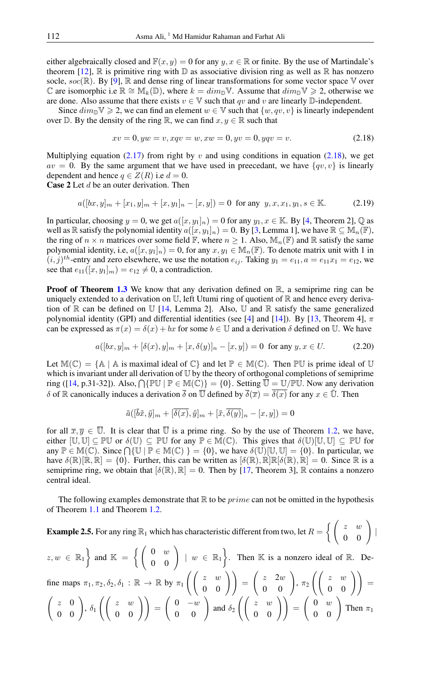either algebraically closed and  $\mathbb{F}(x, y) = 0$  for any  $y, x \in \mathbb{R}$  or finite. By the use of Martindale's theorem [\[12\]](#page-5-10),  $\mathbb R$  is primitive ring with  $\mathbb D$  as associative division ring as well as  $\mathbb R$  has nonzero socle,  $soc(\mathbb{R})$ . By [\[9\]](#page-5-11),  $\mathbb R$  and dense ring of linear transformations for some vector space  $\mathbb V$  over C are isomorphic i.e  $\mathbb{R} \cong \mathbb{M}_k(\mathbb{D})$ , where  $k = dim_{\mathbb{D}} \mathbb{V}$ . Assume that  $dim_{\mathbb{D}} \mathbb{V} \geq 2$ , otherwise we are done. Also assume that there exists  $v \in V$  such that qv and v are linearly D-independent.

Since  $dim_{\mathbb{D}} \mathbb{V} \geq 2$ , we can find an element  $w \in \mathbb{V}$  such that  $\{w, qv, v\}$  is linearly independent over  $\mathbb D$ . By the density of the ring  $\mathbb R$ , we can find  $x, y \in \mathbb R$  such that

<span id="page-4-0"></span>
$$
xv = 0, yw = v, xqv = w, xw = 0, yv = 0, yqv = v.
$$
\n(2.18)

Multiplying equation [\(2.17\)](#page-3-1) from right by v and using conditions in equation [\(2.18\)](#page-4-0), we get  $av = 0$ . By the same argument that we have used in preecedant, we have  $\{qv, v\}$  is linearly dependent and hence  $q \in Z(R)$  i.e  $d = 0$ . **Case 2** Let  $d$  be an outer derivation. Then

$$
a([bx, y]_m + [x_1, y]_m + [x, y_1]_n - [x, y]) = 0 \text{ for any } y, x, x_1, y_1, s \in \mathbb{K}.
$$
 (2.19)

In particular, choosing  $y = 0$ , we get  $a([x, y_1]_n) = 0$  for any  $y_1, x \in \mathbb{K}$ . By [\[4,](#page-5-7) Theorem 2],  $\mathbb{Q}$  as well as R satisfy the polynomial identity  $a([x, y_1]_n) = 0$ . By [\[3,](#page-5-12) Lemma 1], we have  $\mathbb{R} \subseteq \mathbb{M}_n(\mathbb{F})$ , the ring of  $n \times n$  matrices over some field F, where  $n \geq 1$ . Also,  $\mathbb{M}_n(\mathbb{F})$  and R satisfy the same polynomial identity, i.e,  $a([x, y_1]_n) = 0$ , for any  $x, y_1 \in M_n(\mathbb{F})$ . To denote matrix unit with 1 in  $(i, j)$ <sup>th</sup>-entry and zero elsewhere, we use the notation  $e_{ij}$ . Taking  $y_1 = e_{11}$ ,  $a = e_{11}x_1 = e_{12}$ , we see that  $e_{11}([x, y_1]_m) = e_{12} \neq 0$ , a contradiction.

**Proof of Theorem [1.3](#page-1-5)** We know that any derivation defined on  $\mathbb{R}$ , a semiprime ring can be uniquely extended to a derivation on  $\mathbb{U}$ , left Utumi ring of quotient of  $\mathbb{R}$  and hence every derivation of  $\mathbb R$  can be defined on  $\mathbb U$  [\[14,](#page-5-6) Lemma 2]. Also,  $\mathbb U$  and  $\mathbb R$  satisfy the same generalized polynomial identity (GPI) and differential identities (see [\[4\]](#page-5-7) and [\[14\]](#page-5-6)). By [\[13,](#page-5-8) Theorem 4],  $\pi$ can be expressed as  $\pi(x) = \delta(x) + bx$  for some  $b \in \mathbb{U}$  and a derivation  $\delta$  defined on  $\mathbb{U}$ . We have

$$
a([bx, y]_m + [\delta(x), y]_m + [x, \delta(y)]_n - [x, y]) = 0 \text{ for any } y, x \in U. \tag{2.20}
$$

Let  $M(\mathbb{C}) = \{A \mid A$  is maximal ideal of  $\mathbb{C}\}$  and let  $\mathbb{P} \in M(\mathbb{C})$ . Then  $\mathbb{P} \mathbb{U}$  is prime ideal of  $\mathbb{U}$ which is invariant under all derivation of U by the theory of orthogonal completions of semiprime ring ([\[14,](#page-5-6) p.31-32]). Also,  $\bigcap \{\mathbb{PU} \mid \mathbb{P} \in \mathbb{M}(\mathbb{C})\} = \{0\}$ . Setting  $\overline{\overline{\mathbb{U}}} = \mathbb{U}/\mathbb{PU}$ . Now any derivation δ of R canonically induces a derivation  $\overline{\delta}$  on  $\overline{\mathbb{U}}$  defined by  $\overline{\delta}(\overline{x}) = \overline{\delta(x)}$  for any  $x \in \overline{\mathbb{U}}$ . Then

$$
\bar{a}([\bar{b}\bar{x},\bar{y}]_m + [\overline{\delta(x)},\bar{y}]_m + [\bar{x},\overline{\delta(y)}]_n - [x,y]) = 0
$$

for all  $\overline{x}, \overline{y} \in \overline{\mathbb{U}}$ . It is clear that  $\overline{\mathbb{U}}$  is a prime ring. So by the use of Theorem [1.2,](#page-1-4) we have, either  $[\mathbb{U}, \mathbb{U}] \subseteq \mathbb{P}\mathbb{U}$  or  $\delta(\mathbb{U}) \subseteq \mathbb{P}\mathbb{U}$  for any  $\mathbb{P} \in \mathbb{M}(\mathbb{C})$ . This gives that  $\delta(\mathbb{U})[\mathbb{U}, \mathbb{U}] \subseteq \mathbb{P}\mathbb{U}$  for any  $\mathbb{P} \in \mathbb{M}(\mathbb{C})$ . Since  $\bigcap \{\mathbb{U} \mid \mathbb{P} \in \mathbb{M}(\mathbb{C})\} = \{0\}$ , we have  $\delta(\mathbb{U})[\mathbb{U}, \mathbb{U}] = \{0\}$ . In particular, we have  $\delta(\mathbb{R})[\mathbb{R}, \mathbb{R}] = \{0\}$ . Further, this can be written as  $[\delta(\mathbb{R}), \mathbb{R}]\mathbb{R}[\delta(\mathbb{R}), \mathbb{R}] = 0$ . Since  $\mathbb{R}$  is a semiprime ring, we obtain that  $[\delta(\mathbb{R}), \mathbb{R}] = 0$ . Then by [\[17,](#page-5-13) Theorem 3],  $\mathbb R$  contains a nonzero central ideal.

The following examples demonstrate that  $\mathbb R$  to be *prime* can not be omitted in the hypothesis of Theorem [1.1](#page-0-0) and Theorem [1.2.](#page-1-4)

**Example 2.5.** For any ring  $\mathbb{R}_1$  which has characteristic different from two, let  $R = \left\{ \left( \begin{array}{cc} z & w \\ 0 & 0 \end{array} \right) \mid$ 

$$
z, w \in \mathbb{R}_1
$$
 and  $\mathbb{K} = \left\{ \begin{pmatrix} 0 & w \\ 0 & 0 \end{pmatrix} \mid w \in \mathbb{R}_1 \right\}$ . Then  $\mathbb{K}$  is a nonzero ideal of  $\mathbb{R}$ . De-

fine maps  $\pi_1, \pi_2, \delta_2, \delta_1 : \mathbb{R} \to \mathbb{R}$  by  $\pi_1\left(\begin{pmatrix} z & w \\ 0 & 0 \end{pmatrix} \right) = \begin{pmatrix} z & 2w \\ 0 & 0 \end{pmatrix}$ ,  $\pi_2\left(\begin{pmatrix} z & w \\ 0 & 0 \end{pmatrix} \right) =$  $\begin{pmatrix} z & 0 \\ 0 & 0 \end{pmatrix}$ ,  $\delta_1 \left( \begin{pmatrix} z & w \\ 0 & 0 \end{pmatrix} \right) = \begin{pmatrix} 0 & -w \\ 0 & 0 \end{pmatrix}$  and  $\delta_2 \left( \begin{pmatrix} z & w \\ 0 & 0 \end{pmatrix} \right) = \begin{pmatrix} 0 & w \\ 0 & 0 \end{pmatrix}$  Then  $\pi_1$